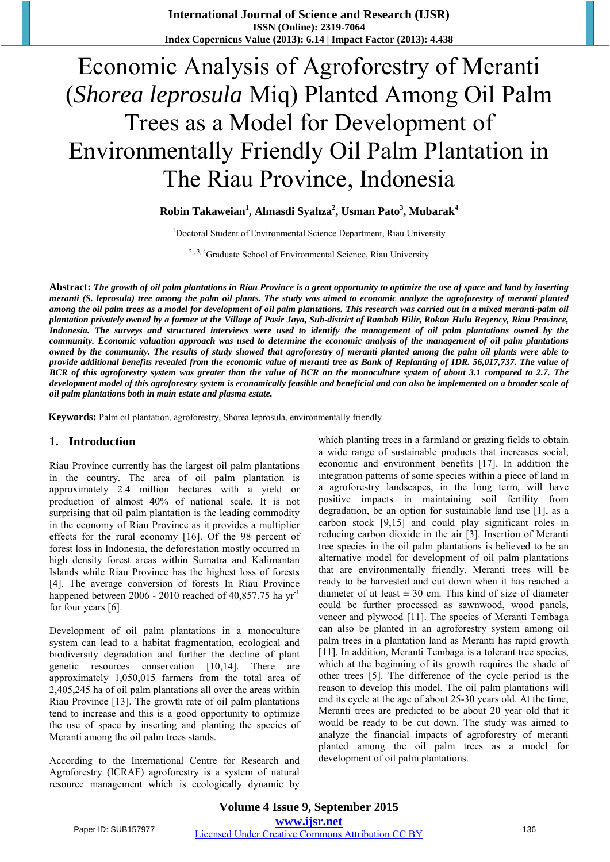**International Journal of Science and Research (IJSR) ISSN (Online): 2319-7064 Index Copernicus Value (2013): 6.14 | Impact Factor (2013): 4.438** 

# Economic Analysis of Agroforestry of Meranti (*Shorea leprosula* Miq) Planted Among Oil Palm Trees as a Model for Development of Environmentally Friendly Oil Palm Plantation in The Riau Province, Indonesia

**Robin Takaweian<sup>1</sup> , Almasdi Syahza<sup>2</sup> , Usman Pato<sup>3</sup> , Mubarak<sup>4</sup>**

<sup>1</sup>Doctoral Student of Environmental Science Department, Riau University

<sup>2,, 3, 4</sup>Graduate School of Environmental Science, Riau University

Abstract: The growth of oil palm plantations in Riau Province is a great opportunity to optimize the use of space and land by inserting meranti (S. leprosula) tree among the palm oil plants. The study was aimed to economic analyze the agroforestry of meranti planted among the oil palm trees as a model for development of oil palm plantations. This research was carried out in a mixed meranti-palm oil plantation privately owned by a farmer at the Village of Pasir Jaya, Sub-district of Rambah Hilir, Rokan Hulu Regency, Riau Province, Indonesia. The surveys and structured interviews were used to identify the management of oil palm plantations owned by the community. Economic valuation approach was used to determine the economic analysis of the management of oil palm plantations owned by the community. The results of study showed that agroforestry of meranti planted among the palm oil plants were able to provide additional benefits revealed from the economic value of meranti tree as Bank of Replanting of IDR. 56,017,737. The value of BCR of this agroforestry system was greater than the value of BCR on the monoculture system of about 3.1 compared to 2.7. The development model of this agroforestry system is economically feasible and beneficial and can also be implemented on a broader scale of *oil palm plantations both in main estate and plasma estate.*

**Keywords:** Palm oil plantation, agroforestry, Shorea leprosula, environmentally friendly

#### **1. Introduction**

Riau Province currently has the largest oil palm plantations in the country. The area of oil palm plantation is approximately 2.4 million hectares with a yield or production of almost 40% of national scale. It is not surprising that oil palm plantation is the leading commodity in the economy of Riau Province as it provides a multiplier effects for the rural economy [16]. Of the 98 percent of forest loss in Indonesia, the deforestation mostly occurred in high density forest areas within Sumatra and Kalimantan Islands while Riau Province has the highest loss of forests [4]. The average conversion of forests In Riau Province happened between 2006 - 2010 reached of 40,857.75 ha  $yr^{-1}$ for four years [6].

Development of oil palm plantations in a monoculture system can lead to a habitat fragmentation, ecological and biodiversity degradation and further the decline of plant genetic resources conservation [10,14]. There are approximately 1,050,015 farmers from the total area of 2,405,245 ha of oil palm plantations all over the areas within Riau Province [13]. The growth rate of oil palm plantations tend to increase and this is a good opportunity to optimize the use of space by inserting and planting the species of Meranti among the oil palm trees stands.

According to the International Centre for Research and Agroforestry (ICRAF) agroforestry is a system of natural resource management which is ecologically dynamic by

which planting trees in a farmland or grazing fields to obtain a wide range of sustainable products that increases social, economic and environment benefits [17]. In addition the integration patterns of some species within a piece of land in a agroforestry landscapes, in the long term, will have positive impacts in maintaining soil fertility from degradation, be an option for sustainable land use [1], as a carbon stock [9,15] and could play significant roles in reducing carbon dioxide in the air [3]. Insertion of Meranti tree species in the oil palm plantations is believed to be an alternative model for development of oil palm plantations that are environmentally friendly. Meranti trees will be ready to be harvested and cut down when it has reached a diameter of at least  $\pm 30$  cm. This kind of size of diameter could be further processed as sawnwood, wood panels, veneer and plywood [11]. The species of Meranti Tembaga can also be planted in an agroforestry system among oil palm trees in a plantation land as Meranti has rapid growth [11]. In addition, Meranti Tembaga is a tolerant tree species, which at the beginning of its growth requires the shade of other trees [5]. The difference of the cycle period is the reason to develop this model. The oil palm plantations will end its cycle at the age of about 25-30 years old. At the time, Meranti trees are predicted to be about 20 year old that it would be ready to be cut down. The study was aimed to analyze the financial impacts of agroforestry of meranti planted among the oil palm trees as a model for development of oil palm plantations.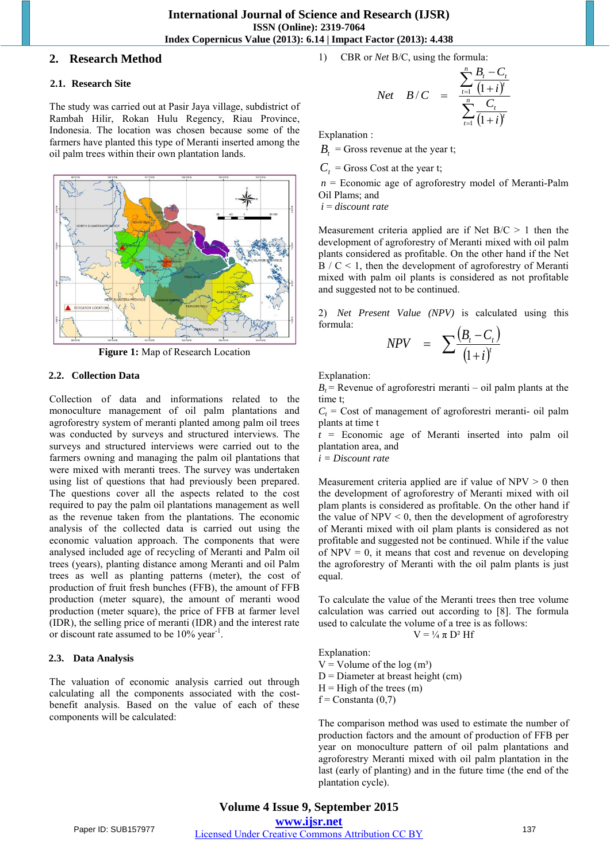## **International Journal of Science and Research (IJSR) ISSN (Online): 2319-7064 Index Copernicus Value (2013): 6.14 | Impact Factor (2013): 4.438**

## **2. Research Method**

### **2.1. Research Site**

The study was carried out at Pasir Jaya village, subdistrict of Rambah Hilir, Rokan Hulu Regency, Riau Province, Indonesia. The location was chosen because some of the farmers have planted this type of Meranti inserted among the oil palm trees within their own plantation lands.



**Figure 1:** Map of Research Location

#### **2.2. Collection Data**

Collection of data and informations related to the monoculture management of oil palm plantations and agroforestry system of meranti planted among palm oil trees was conducted by surveys and structured interviews. The surveys and structured interviews were carried out to the farmers owning and managing the palm oil plantations that were mixed with meranti trees. The survey was undertaken using list of questions that had previously been prepared. The questions cover all the aspects related to the cost required to pay the palm oil plantations management as well as the revenue taken from the plantations. The economic analysis of the collected data is carried out using the economic valuation approach. The components that were analysed included age of recycling of Meranti and Palm oil trees (years), planting distance among Meranti and oil Palm trees as well as planting patterns (meter), the cost of production of fruit fresh bunches (FFB), the amount of FFB production (meter square), the amount of meranti wood production (meter square), the price of FFB at farmer level (IDR), the selling price of meranti (IDR) and the interest rate or discount rate assumed to be 10% year<sup>-1</sup>.

#### **2.3. Data Analysis**

The valuation of economic analysis carried out through calculating all the components associated with the costbenefit analysis. Based on the value of each of these components will be calculated:

1) CBR or *Net* B/C, using the formula:

$$
Net \quad B/C \quad = \quad \frac{\sum_{t=1}^{n} \frac{B_{t} - C_{t}}{(1+i)^{t}}}{\sum_{t=1}^{n} \frac{C_{t}}{(1+i)^{t}}}
$$

Explanation :

 $B_t$  = Gross revenue at the year t;

 $C_t$  = Gross Cost at the year t;

*n* = Economic age of agroforestry model of Meranti-Palm Oil Plams; and

 *i* = *discount rate* 

Measurement criteria applied are if Net  $B/C > 1$  then the development of agroforestry of Meranti mixed with oil palm plants considered as profitable. On the other hand if the Net  $B / C < 1$ , then the development of agroforestry of Meranti mixed with palm oil plants is considered as not profitable and suggested not to be continued.

2) *Net Present Value (NPV)* is calculated using this formula:  $(B_t - C_t)$ 

$$
NPV = \sum \frac{(B_t - C_t)}{(1 + i)^t}
$$

Explanation:

 $B_t$  = Revenue of agroforestri meranti – oil palm plants at the time t;

 $C<sub>t</sub>$  = Cost of management of agroforestri meranti- oil palm plants at time t

*t* = Economic age of Meranti inserted into palm oil plantation area, and

*i = Discount rate*

Measurement criteria applied are if value of  $NPV > 0$  then the development of agroforestry of Meranti mixed with oil plam plants is considered as profitable. On the other hand if the value of  $NPV < 0$ , then the development of agroforestry of Meranti mixed with oil plam plants is considered as not profitable and suggested not be continued. While if the value of  $NPV = 0$ , it means that cost and revenue on developing the agroforestry of Meranti with the oil palm plants is just equal.

To calculate the value of the Meranti trees then tree volume calculation was carried out according to [8]. The formula used to calculate the volume of a tree is as follows:

$$
V = \frac{1}{4} \pi D^2 Hf
$$

Explanation:  $V =$  Volume of the log  $(m<sup>3</sup>)$  $D =$  Diameter at breast height (cm)  $H =$ High of the trees (m)  $f =$ Constanta  $(0,7)$ 

The comparison method was used to estimate the number of production factors and the amount of production of FFB per year on monoculture pattern of oil palm plantations and agroforestry Meranti mixed with oil palm plantation in the last (early of planting) and in the future time (the end of the plantation cycle).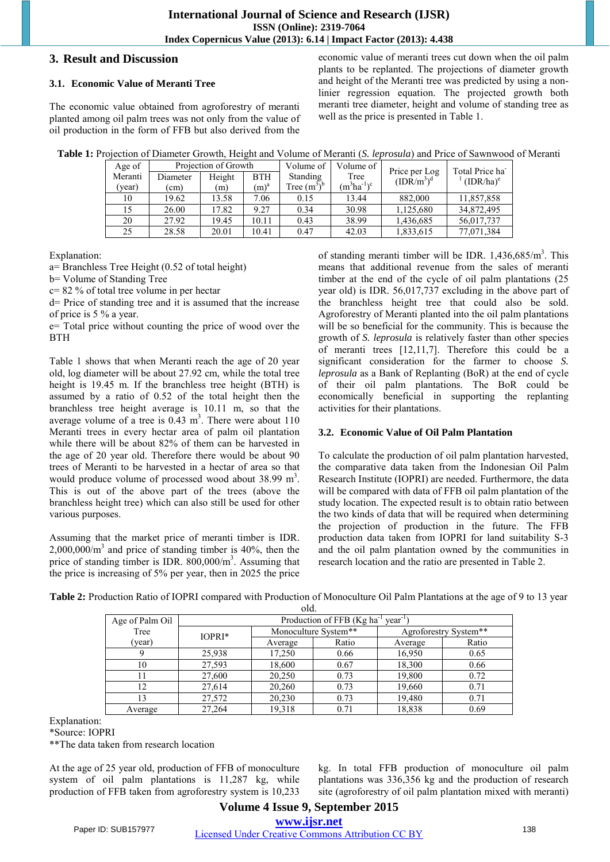# **3. Result and Discussion**

# **3.1. Economic Value of Meranti Tree**

The economic value obtained from agroforestry of meranti planted among oil palm trees was not only from the value of oil production in the form of FFB but also derived from the

economic value of meranti trees cut down when the oil palm plants to be replanted. The projections of diameter growth and height of the Meranti tree was predicted by using a nonlinier regression equation. The projected growth both meranti tree diameter, height and volume of standing tree as well as the price is presented in Table 1.

| <b>Table 1:</b> Projection of Diameter Growth, Height and Volume of Meranti (S. <i>leprosula</i> ) and Price of Sawnwood of Meranti |  |  |  |
|-------------------------------------------------------------------------------------------------------------------------------------|--|--|--|
|-------------------------------------------------------------------------------------------------------------------------------------|--|--|--|

| Age of  | Projection of Growth |        | Volume of | Volume of      | Price per Log    | Total Price ha                     |              |
|---------|----------------------|--------|-----------|----------------|------------------|------------------------------------|--------------|
| Meranti | Diameter             | Height | BTH       | Standing       | Tree             | (IDR/m <sup>3</sup> ) <sup>d</sup> | $(IDR/ha)^e$ |
| (year)  | (cm)                 | (m)    | $(m)^a$   | Tree $(m^3)^b$ | $(m^3ha^{-1})^c$ |                                    |              |
| 10      | 19.62                | 13.58  | 7.06      | 0.15           | 13.44            | 882,000                            | 11,857,858   |
|         | 26.00                | 17.82  | 9.27      | 0.34           | 30.98            | 1,125,680                          | 34,872,495   |
| 20      | 27.92                | 19.45  | 10.11     | 0.43           | 38.99            | 1,436,685                          | 56,017,737   |
| 25      | 28.58                | 20.01  | 10.41     | 0.47           | 42.03            | 1,833,615                          | 77,071,384   |

Explanation:

a= Branchless Tree Height (0.52 of total height)

b= Volume of Standing Tree

c= 82 % of total tree volume in per hectar

d= Price of standing tree and it is assumed that the increase of price is 5 % a year.

e= Total price without counting the price of wood over the BTH

Table 1 shows that when Meranti reach the age of 20 year old, log diameter will be about 27.92 cm, while the total tree height is 19.45 m. If the branchless tree height (BTH) is assumed by a ratio of 0.52 of the total height then the branchless tree height average is 10.11 m, so that the average volume of a tree is  $0.43 \text{ m}^3$ . There were about 110 Meranti trees in every hectar area of palm oil plantation while there will be about 82% of them can be harvested in the age of 20 year old. Therefore there would be about 90 trees of Meranti to be harvested in a hectar of area so that would produce volume of processed wood about  $38.99 \text{ m}^3$ . This is out of the above part of the trees (above the branchless height tree) which can also still be used for other various purposes.

Assuming that the market price of meranti timber is IDR.  $2,000,000/m<sup>3</sup>$  and price of standing timber is 40%, then the price of standing timber is IDR. 800,000/m<sup>3</sup>. Assuming that the price is increasing of 5% per year, then in 2025 the price

of standing meranti timber will be IDR. 1,436,685/m<sup>3</sup>. This means that additional revenue from the sales of meranti timber at the end of the cycle of oil palm plantations (25 year old) is IDR. 56,017,737 excluding in the above part of the branchless height tree that could also be sold. Agroforestry of Meranti planted into the oil palm plantations will be so beneficial for the community. This is because the growth of *S. leprosula* is relatively faster than other species of meranti trees [12,11,7]. Therefore this could be a significant consideration for the farmer to choose *S. leprosula* as a Bank of Replanting (BoR) at the end of cycle of their oil palm plantations. The BoR could be economically beneficial in supporting the replanting activities for their plantations.

# **3.2. Economic Value of Oil Palm Plantation**

To calculate the production of oil palm plantation harvested, the comparative data taken from the Indonesian Oil Palm Research Institute (IOPRI) are needed. Furthermore, the data will be compared with data of FFB oil palm plantation of the study location. The expected result is to obtain ratio between the two kinds of data that will be required when determining the projection of production in the future. The FFB production data taken from IOPRI for land suitability S-3 and the oil palm plantation owned by the communities in research location and the ratio are presented in Table 2.

| Table 2: Production Ratio of IOPRI compared with Production of Monoculture Oil Palm Plantations at the age of 9 to 13 year |  |
|----------------------------------------------------------------------------------------------------------------------------|--|
|                                                                                                                            |  |

| VIU.            |                                                           |                      |       |                       |       |
|-----------------|-----------------------------------------------------------|----------------------|-------|-----------------------|-------|
| Age of Palm Oil | Production of FFB (Kg ha <sup>-1</sup> year <sup>-1</sup> |                      |       |                       |       |
| Tree            | IOPRI*                                                    | Monoculture System** |       | Agroforestry System** |       |
| (year)          |                                                           | Average              | Ratio | Average               | Ratio |
|                 | 25,938                                                    | 17,250               | 0.66  | 16,950                | 0.65  |
| 10              | 27,593                                                    | 18,600               | 0.67  | 18,300                | 0.66  |
| 11              | 27,600                                                    | 20,250               | 0.73  | 19,800                | 0.72  |
| 12              | 27,614                                                    | 20,260               | 0.73  | 19,660                | 0.71  |
| 13              | 27,572                                                    | 20,230               | 0.73  | 19,480                | 0.71  |
| Average         | 27,264                                                    | 19,318               | 0.71  | 18,838                | 0.69  |

Explanation:

\*Source: IOPRI

\*\*The data taken from research location

At the age of 25 year old, production of FFB of monoculture system of oil palm plantations is 11,287 kg, while production of FFB taken from agroforestry system is 10,233 kg. In total FFB production of monoculture oil palm plantations was 336,356 kg and the production of research site (agroforestry of oil palm plantation mixed with meranti)

# **Volume 4 Issue 9, September 2015 www.ijsr.net** Paper ID: SUB157977 Licensed Under Creative Commons Attribution CC BY 138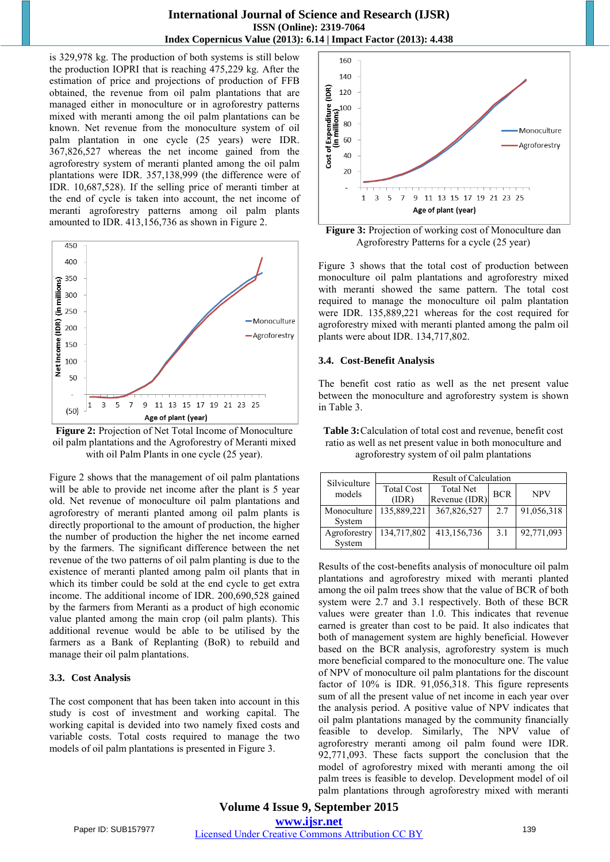### **International Journal of Science and Research (IJSR) ISSN (Online): 2319-7064 Index Copernicus Value (2013): 6.14 | Impact Factor (2013): 4.438**

is 329,978 kg. The production of both systems is still below the production IOPRI that is reaching 475,229 kg. After the estimation of price and projections of production of FFB obtained, the revenue from oil palm plantations that are managed either in monoculture or in agroforestry patterns mixed with meranti among the oil palm plantations can be known. Net revenue from the monoculture system of oil palm plantation in one cycle (25 years) were IDR. 367,826,527 whereas the net income gained from the agroforestry system of meranti planted among the oil palm plantations were IDR. 357,138,999 (the difference were of IDR. 10,687,528). If the selling price of meranti timber at the end of cycle is taken into account, the net income of meranti agroforestry patterns among oil palm plants amounted to IDR. 413,156,736 as shown in Figure 2.



**Figure 2:** Projection of Net Total Income of Monoculture oil palm plantations and the Agroforestry of Meranti mixed with oil Palm Plants in one cycle (25 year).

Figure 2 shows that the management of oil palm plantations will be able to provide net income after the plant is 5 year old. Net revenue of monoculture oil palm plantations and agroforestry of meranti planted among oil palm plants is directly proportional to the amount of production, the higher the number of production the higher the net income earned by the farmers. The significant difference between the net revenue of the two patterns of oil palm planting is due to the existence of meranti planted among palm oil plants that in which its timber could be sold at the end cycle to get extra income. The additional income of IDR. 200,690,528 gained by the farmers from Meranti as a product of high economic value planted among the main crop (oil palm plants). This additional revenue would be able to be utilised by the farmers as a Bank of Replanting (BoR) to rebuild and manage their oil palm plantations.

#### **3.3. Cost Analysis**

The cost component that has been taken into account in this study is cost of investment and working capital. The working capital is devided into two namely fixed costs and variable costs. Total costs required to manage the two models of oil palm plantations is presented in Figure 3.



**Figure 3:** Projection of working cost of Monoculture dan Agroforestry Patterns for a cycle (25 year)

Figure 3 shows that the total cost of production between monoculture oil palm plantations and agroforestry mixed with meranti showed the same pattern. The total cost required to manage the monoculture oil palm plantation were IDR. 135,889,221 whereas for the cost required for agroforestry mixed with meranti planted among the palm oil plants were about IDR. 134,717,802.

#### **3.4. Cost-Benefit Analysis**

The benefit cost ratio as well as the net present value between the monoculture and agroforestry system is shown in Table 3.

**Table 3:** Calculation of total cost and revenue, benefit cost ratio as well as net present value in both monoculture and agroforestry system of oil palm plantations

| Silviculture | Result of Calculation      |                                   |            |            |  |
|--------------|----------------------------|-----------------------------------|------------|------------|--|
| models       | <b>Total Cost</b><br>(IDR) | <b>Total Net</b><br>Revenue (IDR) | <b>BCR</b> | <b>NPV</b> |  |
| Monoculture  | 135,889,221                | 367,826,527                       | 2.7        | 91,056,318 |  |
| System       |                            |                                   |            |            |  |
| Agroforestry | 134,717,802                | 413,156,736                       | 3.1        | 92,771,093 |  |
| System       |                            |                                   |            |            |  |

Results of the cost-benefits analysis of monoculture oil palm plantations and agroforestry mixed with meranti planted among the oil palm trees show that the value of BCR of both system were 2.7 and 3.1 respectively. Both of these BCR values were greater than 1.0. This indicates that revenue earned is greater than cost to be paid. It also indicates that both of management system are highly beneficial. However based on the BCR analysis, agroforestry system is much more beneficial compared to the monoculture one. The value of NPV of monoculture oil palm plantations for the discount factor of 10% is IDR. 91,056,318. This figure represents sum of all the present value of net income in each year over the analysis period. A positive value of NPV indicates that oil palm plantations managed by the community financially feasible to develop. Similarly, The NPV value of agroforestry meranti among oil palm found were IDR. 92,771,093. These facts support the conclusion that the model of agroforestry mixed with meranti among the oil palm trees is feasible to develop. Development model of oil palm plantations through agroforestry mixed with meranti

**Volume 4 Issue 9, September 2015 www.ijsr.net** Paper ID: SUB157977 Licensed Under Creative Commons Attribution CC BY 139